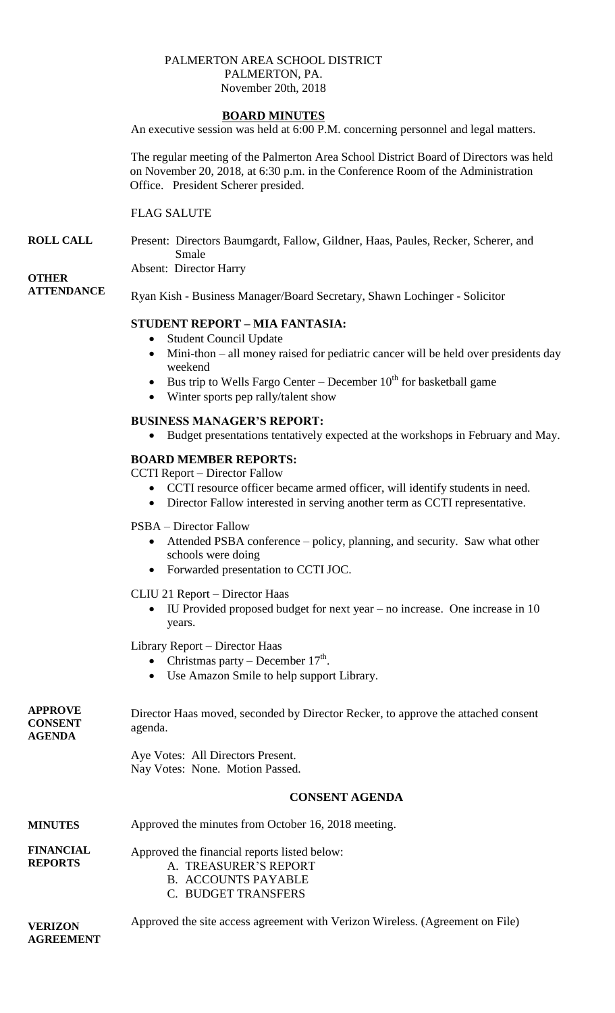#### PALMERTON AREA SCHOOL DISTRICT PALMERTON, PA. November 20th, 2018

## **BOARD MINUTES**

An executive session was held at 6:00 P.M. concerning personnel and legal matters.

The regular meeting of the Palmerton Area School District Board of Directors was held on November 20, 2018, at 6:30 p.m. in the Conference Room of the Administration Office. President Scherer presided.

## FLAG SALUTE

**ROLL CALL** Present: Directors Baumgardt, Fallow, Gildner, Haas, Paules, Recker, Scherer, and Smale

Absent: Director Harry

# **OTHER**

**ATTENDANCE**

Ryan Kish - Business Manager/Board Secretary, Shawn Lochinger - Solicitor

# **STUDENT REPORT – MIA FANTASIA:**

- Student Council Update
- Mini-thon all money raised for pediatric cancer will be held over presidents day weekend
- Bus trip to Wells Fargo Center December  $10^{th}$  for basketball game
- Winter sports pep rally/talent show

## **BUSINESS MANAGER'S REPORT:**

Budget presentations tentatively expected at the workshops in February and May.

## **BOARD MEMBER REPORTS:**

CCTI Report – Director Fallow

- CCTI resource officer became armed officer, will identify students in need.
- Director Fallow interested in serving another term as CCTI representative.

## PSBA – Director Fallow

- Attended PSBA conference policy, planning, and security. Saw what other schools were doing
- Forwarded presentation to CCTI JOC.

## CLIU 21 Report – Director Haas

 IU Provided proposed budget for next year – no increase. One increase in 10 years.

Library Report – Director Haas

- Christmas party December  $17<sup>th</sup>$ .
- Use Amazon Smile to help support Library.

| <b>APPROVE</b><br><b>CONSENT</b><br><b>AGENDA</b> | Director Haas moved, seconded by Director Recker, to approve the attached consent<br>agenda.                               |
|---------------------------------------------------|----------------------------------------------------------------------------------------------------------------------------|
|                                                   | Aye Votes: All Directors Present.<br>Nay Votes: None. Motion Passed.                                                       |
|                                                   | <b>CONSENT AGENDA</b>                                                                                                      |
| <b>MINUTES</b>                                    | Approved the minutes from October 16, 2018 meeting.                                                                        |
| <b>FINANCIAL</b><br><b>REPORTS</b>                | Approved the financial reports listed below:<br>A. TREASURER'S REPORT<br><b>B. ACCOUNTS PAYABLE</b><br>C. BUDGET TRANSFERS |

**VERIZON AGREEMENT** Approved the site access agreement with Verizon Wireless. (Agreement on File)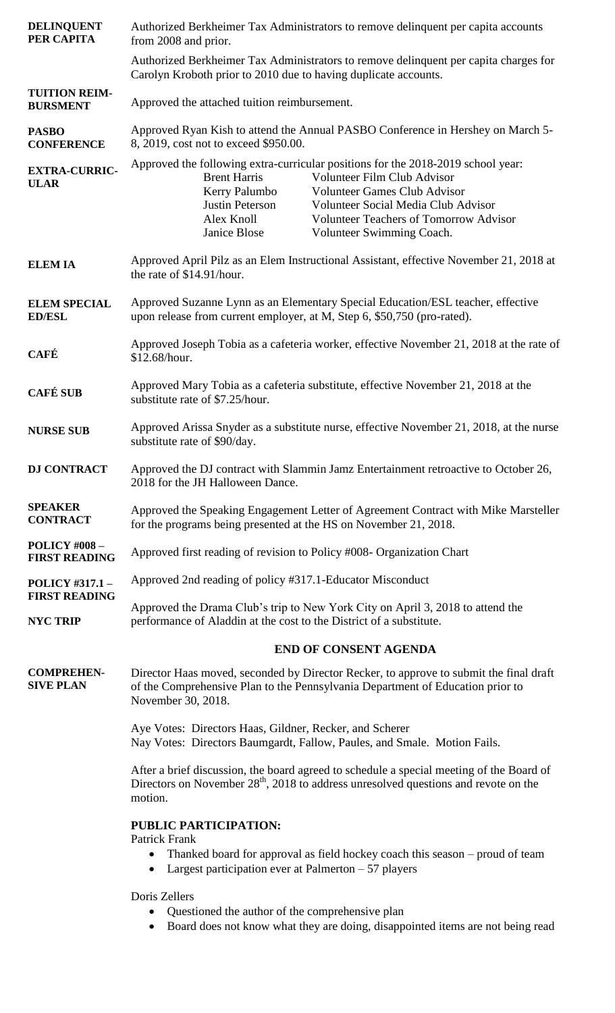| <b>DELINQUENT</b><br>PER CAPITA                | Authorized Berkheimer Tax Administrators to remove delinquent per capita accounts<br>from 2008 and prior.                                                                                                                                                                                                                                                            |
|------------------------------------------------|----------------------------------------------------------------------------------------------------------------------------------------------------------------------------------------------------------------------------------------------------------------------------------------------------------------------------------------------------------------------|
|                                                | Authorized Berkheimer Tax Administrators to remove delinquent per capita charges for<br>Carolyn Kroboth prior to 2010 due to having duplicate accounts.                                                                                                                                                                                                              |
| <b>TUITION REIM-</b><br><b>BURSMENT</b>        | Approved the attached tuition reimbursement.                                                                                                                                                                                                                                                                                                                         |
| <b>PASBO</b><br><b>CONFERENCE</b>              | Approved Ryan Kish to attend the Annual PASBO Conference in Hershey on March 5-<br>8, 2019, cost not to exceed \$950.00.                                                                                                                                                                                                                                             |
| <b>EXTRA-CURRIC-</b><br><b>ULAR</b>            | Approved the following extra-curricular positions for the 2018-2019 school year:<br><b>Brent Harris</b><br>Volunteer Film Club Advisor<br>Kerry Palumbo<br><b>Volunteer Games Club Advisor</b><br>Justin Peterson<br>Volunteer Social Media Club Advisor<br>Alex Knoll<br><b>Volunteer Teachers of Tomorrow Advisor</b><br>Janice Blose<br>Volunteer Swimming Coach. |
| <b>ELEMIA</b>                                  | Approved April Pilz as an Elem Instructional Assistant, effective November 21, 2018 at<br>the rate of \$14.91/hour.                                                                                                                                                                                                                                                  |
| <b>ELEM SPECIAL</b><br><b>ED/ESL</b>           | Approved Suzanne Lynn as an Elementary Special Education/ESL teacher, effective<br>upon release from current employer, at M, Step 6, \$50,750 (pro-rated).                                                                                                                                                                                                           |
| <b>CAFÉ</b>                                    | Approved Joseph Tobia as a cafeteria worker, effective November 21, 2018 at the rate of<br>\$12.68/hour.                                                                                                                                                                                                                                                             |
| <b>CAFÉ SUB</b>                                | Approved Mary Tobia as a cafeteria substitute, effective November 21, 2018 at the<br>substitute rate of \$7.25/hour.                                                                                                                                                                                                                                                 |
| <b>NURSE SUB</b>                               | Approved Arissa Snyder as a substitute nurse, effective November 21, 2018, at the nurse<br>substitute rate of \$90/day.                                                                                                                                                                                                                                              |
| <b>DJ CONTRACT</b>                             | Approved the DJ contract with Slammin Jamz Entertainment retroactive to October 26,<br>2018 for the JH Halloween Dance.                                                                                                                                                                                                                                              |
| <b>SPEAKER</b><br><b>CONTRACT</b>              | Approved the Speaking Engagement Letter of Agreement Contract with Mike Marsteller<br>for the programs being presented at the HS on November 21, 2018.                                                                                                                                                                                                               |
| <b>POLICY #008-</b><br><b>FIRST READING</b>    | Approved first reading of revision to Policy #008- Organization Chart                                                                                                                                                                                                                                                                                                |
| <b>POLICY #317.1 -</b><br><b>FIRST READING</b> | Approved 2nd reading of policy #317.1-Educator Misconduct                                                                                                                                                                                                                                                                                                            |
| <b>NYC TRIP</b>                                | Approved the Drama Club's trip to New York City on April 3, 2018 to attend the<br>performance of Aladdin at the cost to the District of a substitute.                                                                                                                                                                                                                |
|                                                | <b>END OF CONSENT AGENDA</b>                                                                                                                                                                                                                                                                                                                                         |
| <b>COMPREHEN-</b><br><b>SIVE PLAN</b>          | Director Haas moved, seconded by Director Recker, to approve to submit the final draft<br>of the Comprehensive Plan to the Pennsylvania Department of Education prior to<br>November 30, 2018.                                                                                                                                                                       |
|                                                | Aye Votes: Directors Haas, Gildner, Recker, and Scherer<br>Nay Votes: Directors Baumgardt, Fallow, Paules, and Smale. Motion Fails.                                                                                                                                                                                                                                  |
|                                                | After a brief discussion, the board agreed to schedule a special meeting of the Board of<br>Directors on November $28th$ , 2018 to address unresolved questions and revote on the<br>motion.                                                                                                                                                                         |
|                                                | <b>PUBLIC PARTICIPATION:</b>                                                                                                                                                                                                                                                                                                                                         |
|                                                | Patrick Frank<br>Thanked board for approval as field hockey coach this season - proud of team<br>٠<br>Largest participation ever at Palmerton $-57$ players<br>$\bullet$                                                                                                                                                                                             |
|                                                | Doris Zellers<br>Questioned the author of the comprehensive plan<br>$\bullet$<br>Board does not know what they are doing, disappointed items are not being read                                                                                                                                                                                                      |